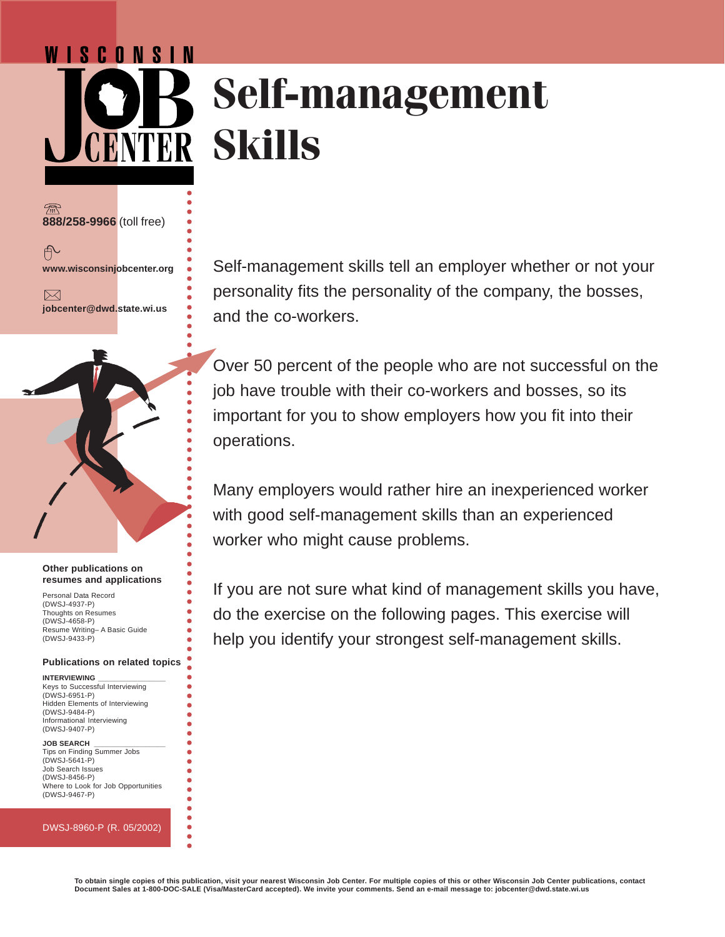# WISCONSIN **Self-management Skills**

**888/258-9966** (toll free)

户

**www.wisconsinjobcenter.org**

 $\bowtie$ **jobcenter@dwd.state.wi.us** ○○○○○○○○○○○○○○○○○○○○○○○○○○○○○○○○○○○○○○○○○○○○

○○○○○○○○○○○○○○○○○○○○○○○○○○

 $\bullet$  $\bullet$ ŏ

### **Other publications on resumes and applications**

Personal Data Record (DWSJ-4937-P) Thoughts on Resumes (DWSJ-4658-P) Resume Writing– A Basic Guide (DWSJ-9433-P)

## **Publications on related topics**

**INTERVIEWING \_\_\_\_\_\_\_\_\_\_\_\_\_\_\_\_\_** Keys to Successful Interviewing (DWSJ-6951-P) Hidden Elements of Interviewing (DWSJ-9484-P) Informational Interviewing (DWSJ-9407-P)

#### **JOB SEARCH \_\_\_\_\_\_\_\_\_\_\_\_\_\_\_\_\_\_**

Tips on Finding Summer Jobs (DWSJ-5641-P) Job Search Issues (DWSJ-8456-P) Where to Look for Job Opportunities (DWSJ-9467-P)

#### DWSJ-8960-P (R. 05/2002)

Self-management skills tell an employer whether or not your personality fits the personality of the company, the bosses, and the co-workers.

Over 50 percent of the people who are not successful on the job have trouble with their co-workers and bosses, so its important for you to show employers how you fit into their operations.

Many employers would rather hire an inexperienced worker with good self-management skills than an experienced worker who might cause problems.

If you are not sure what kind of management skills you have, do the exercise on the following pages. This exercise will help you identify your strongest self-management skills.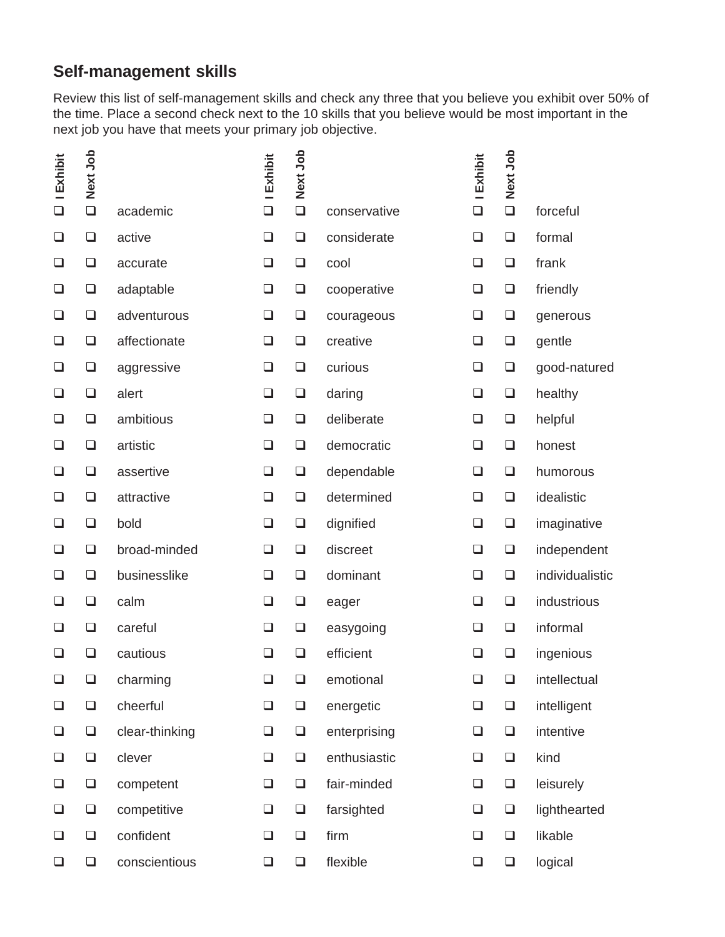# **Self-management skills**

Review this list of self-management skills and check any three that you believe you exhibit over 50% of the time. Place a second check next to the 10 skills that you believe would be most important in the next job you have that meets your primary job objective.

| <b>I</b> Exhibit | Next Job |                | I Exhibit | Next Job |              | <b>I Exhibit</b> | Next Job |                 |
|------------------|----------|----------------|-----------|----------|--------------|------------------|----------|-----------------|
| $\Box$           | $\Box$   | academic       | $\Box$    | $\Box$   | conservative | $\Box$           | $\Box$   | forceful        |
| $\Box$           | ❏        | active         | ❏         | $\Box$   | considerate  | $\Box$           | $\Box$   | formal          |
| $\Box$           | $\Box$   | accurate       | $\Box$    | $\Box$   | cool         | $\Box$           | $\Box$   | frank           |
| $\Box$           | $\Box$   | adaptable      | $\Box$    | $\Box$   | cooperative  | $\Box$           | $\Box$   | friendly        |
| ⊔                | ❏        | adventurous    | $\Box$    | $\Box$   | courageous   | $\Box$           | $\Box$   | generous        |
| ❏                | ❏        | affectionate   | ❏         | $\Box$   | creative     | $\Box$           | $\Box$   | gentle          |
| $\Box$           | $\Box$   | aggressive     | ❏         | $\Box$   | curious      | $\Box$           | $\Box$   | good-natured    |
| ❏                | $\Box$   | alert          | $\Box$    | $\Box$   | daring       | $\Box$           | $\Box$   | healthy         |
| $\Box$           | ❏        | ambitious      | ❏         | $\Box$   | deliberate   | $\Box$           | $\Box$   | helpful         |
| $\Box$           | $\Box$   | artistic       | $\Box$    | $\Box$   | democratic   | $\Box$           | $\Box$   | honest          |
| ❏                | ❏        | assertive      | $\Box$    | $\Box$   | dependable   | $\Box$           | $\Box$   | humorous        |
| ❏                | ❏        | attractive     | $\Box$    | $\Box$   | determined   | $\Box$           | $\Box$   | idealistic      |
| $\Box$           | $\Box$   | bold           | ❏         | $\Box$   | dignified    | $\Box$           | $\Box$   | imaginative     |
| ❏                | ❏        | broad-minded   | ❏         | $\Box$   | discreet     | $\Box$           | $\Box$   | independent     |
| $\Box$           | $\Box$   | businesslike   | $\Box$    | $\Box$   | dominant     | $\Box$           | $\Box$   | individualistic |
| $\Box$           | $\Box$   | calm           | $\Box$    | $\Box$   | eager        | $\Box$           | $\Box$   | industrious     |
| ❏                | $\Box$   | careful        | ❏         | $\Box$   | easygoing    | $\Box$           | $\Box$   | informal        |
| ⊔                | ◻        | cautious       | $\Box$    | ❏        | efficient    | ❏                | ❏        | ingenious       |
| $\Box$           | $\Box$   | charming       | $\Box$    | $\Box$   | emotional    | $\Box$           | $\Box$   | intellectual    |
| $\Box$           | $\Box$   | cheerful       | $\Box$    | $\Box$   | energetic    | $\Box$           | $\Box$   | intelligent     |
| $\Box$           | $\Box$   | clear-thinking | $\Box$    | $\Box$   | enterprising | $\Box$           | $\Box$   | intentive       |
| $\Box$           | $\Box$   | clever         | $\Box$    | $\Box$   | enthusiastic | $\Box$           | $\Box$   | kind            |
| $\Box$           | $\Box$   | competent      | $\Box$    | $\Box$   | fair-minded  | $\Box$           | $\Box$   | leisurely       |
| $\Box$           | $\Box$   | competitive    | $\Box$    | $\Box$   | farsighted   | $\Box$           | $\Box$   | lighthearted    |
| $\Box$           | $\Box$   | confident      | $\Box$    | $\Box$   | firm         | $\Box$           | $\Box$   | likable         |
| $\Box$           | $\Box$   | conscientious  | $\Box$    | $\Box$   | flexible     | $\Box$           | $\Box$   | logical         |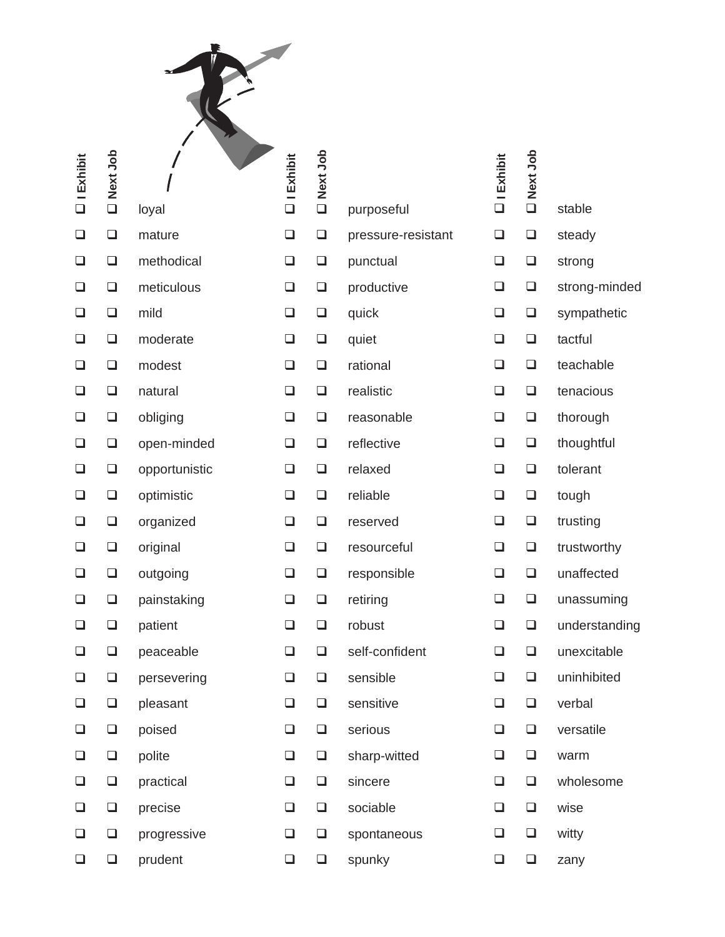| $\square$ I Exhibit | Next Job<br>$\Box$ | loyal         | $\square$ I Exhibit | Next Job<br>$\Box$ | purposeful         | $\Box$ I Exhibit | D<br>Next<br>Job | stable        |
|---------------------|--------------------|---------------|---------------------|--------------------|--------------------|------------------|------------------|---------------|
| $\Box$              | $\Box$             | mature        | $\Box$              | $\Box$             | pressure-resistant | $\Box$           | $\Box$           | steady        |
| $\Box$              | $\Box$             | methodical    | $\Box$              | $\Box$             | punctual           | $\Box$           | $\Box$           | strong        |
| $\Box$              | $\Box$             | meticulous    | $\Box$              | $\Box$             | productive         | $\Box$           | $\Box$           | strong-minded |
| $\Box$              | $\Box$             | mild          | $\Box$              | $\Box$             | quick              | $\Box$           | $\Box$           | sympathetic   |
| $\Box$              | $\Box$             | moderate      | $\Box$              | $\Box$             | quiet              | $\Box$           | $\Box$           | tactful       |
| $\Box$              | $\Box$             | modest        | $\Box$              | $\Box$             | rational           | $\Box$           | $\Box$           | teachable     |
| $\Box$              | $\Box$             | natural       | $\Box$              | $\Box$             | realistic          | $\Box$           | $\Box$           | tenacious     |
| $\Box$              | $\Box$             | obliging      | $\Box$              | $\Box$             | reasonable         | $\Box$           | $\Box$           | thorough      |
| $\Box$              | $\Box$             | open-minded   | $\Box$              | $\Box$             | reflective         | $\Box$           | $\Box$           | thoughtful    |
| $\Box$              | $\Box$             | opportunistic | $\Box$              | $\Box$             | relaxed            | $\Box$           | $\Box$           | tolerant      |
| $\Box$              | $\Box$             | optimistic    | ❏                   | $\Box$             | reliable           | $\Box$           | $\Box$           | tough         |
| $\Box$              | $\Box$             | organized     | $\Box$              | $\Box$             | reserved           | $\Box$           | $\Box$           | trusting      |
| $\Box$              | $\Box$             | original      | ❏                   | $\Box$             | resourceful        | $\Box$           | $\Box$           | trustworthy   |
| $\Box$              | $\Box$             | outgoing      | $\Box$              | $\Box$             | responsible        | $\Box$           | $\Box$           | unaffected    |
| $\Box$              | $\Box$             | painstaking   | $\Box$              | $\Box$             | retiring           | $\Box$           | $\Box$           | unassuming    |
| $\Box$              | $\Box$             | patient       | $\Box$              | $\Box$             | robust             | $\Box$           | $\Box$           | understanding |
| $\Box$              | $\Box$             | peaceable     | $\Box$              | $\Box$             | self-confident     | $\Box$           | $\Box$           | unexcitable   |
| $\Box$              | $\Box$             | persevering   | $\Box$              | $\Box$             | sensible           | $\Box$           | $\Box$           | uninhibited   |
| $\Box$              | $\Box$             | pleasant      | $\Box$              | $\Box$             | sensitive          | $\Box$           | $\Box$           | verbal        |
| $\Box$              | $\Box$             | poised        | $\Box$              | $\Box$             | serious            | $\Box$           | $\Box$           | versatile     |
| $\Box$              | $\Box$             | polite        | $\Box$              | $\Box$             | sharp-witted       | $\Box$           | $\Box$           | warm          |
| $\Box$              | $\Box$             | practical     | $\Box$              | $\Box$             | sincere            | $\Box$           | $\Box$           | wholesome     |
| $\Box$              | $\Box$             | precise       | $\Box$              | $\Box$             | sociable           | $\Box$           | $\Box$           | wise          |
| $\Box$              | $\Box$             | progressive   | $\Box$              | $\Box$             | spontaneous        | $\Box$           | $\Box$           | witty         |
| $\Box$              | $\Box$             | prudent       | $\Box$              | $\Box$             | spunky             | $\Box$           | $\Box$           | zany          |